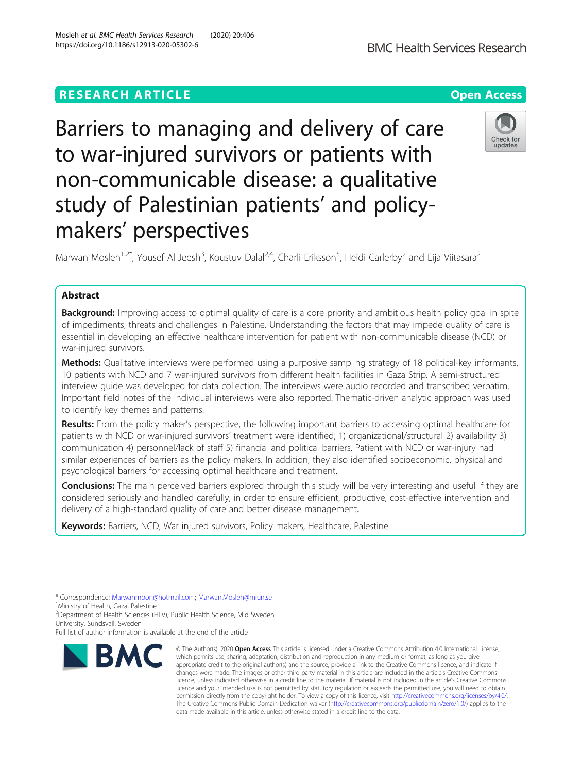# **RESEARCH ARTICLE Example 2014 12:30 The Contract of Contract ACCESS**

Barriers to managing and delivery of care to war-injured survivors or patients with non-communicable disease: a qualitative study of Palestinian patients' and policymakers' perspectives

Marwan Mosleh<sup>1,2\*</sup>, Yousef Al Jeesh<sup>3</sup>, Koustuv Dalal<sup>2,4</sup>, Charli Eriksson<sup>5</sup>, Heidi Carlerby<sup>2</sup> and Eija Viitasara<sup>2</sup>

# Abstract

Background: Improving access to optimal quality of care is a core priority and ambitious health policy goal in spite of impediments, threats and challenges in Palestine. Understanding the factors that may impede quality of care is essential in developing an effective healthcare intervention for patient with non-communicable disease (NCD) or war-injured survivors.

Methods: Qualitative interviews were performed using a purposive sampling strategy of 18 political-key informants, 10 patients with NCD and 7 war-injured survivors from different health facilities in Gaza Strip. A semi-structured interview guide was developed for data collection. The interviews were audio recorded and transcribed verbatim. Important field notes of the individual interviews were also reported. Thematic-driven analytic approach was used to identify key themes and patterns.

Results: From the policy maker's perspective, the following important barriers to accessing optimal healthcare for patients with NCD or war-injured survivors' treatment were identified; 1) organizational/structural 2) availability 3) communication 4) personnel/lack of staff 5) financial and political barriers. Patient with NCD or war-injury had similar experiences of barriers as the policy makers. In addition, they also identified socioeconomic, physical and psychological barriers for accessing optimal healthcare and treatment.

Conclusions: The main perceived barriers explored through this study will be very interesting and useful if they are considered seriously and handled carefully, in order to ensure efficient, productive, cost-effective intervention and delivery of a high-standard quality of care and better disease management.

Keywords: Barriers, NCD, War injured survivors, Policy makers, Healthcare, Palestine

<sup>2</sup>Department of Health Sciences (HLV), Public Health Science, Mid Sweden University, Sundsvall, Sweden

which permits use, sharing, adaptation, distribution and reproduction in any medium or format, as long as you give





<sup>\*</sup> Correspondence: [Marwanmoon@hotmail.com;](mailto:Marwanmoon@hotmail.com) [Marwan.Mosleh@miun.se](mailto:Marwan.Mosleh@miun.se) <sup>1</sup>

<sup>&</sup>lt;sup>1</sup>Ministry of Health, Gaza, Palestine

Full list of author information is available at the end of the article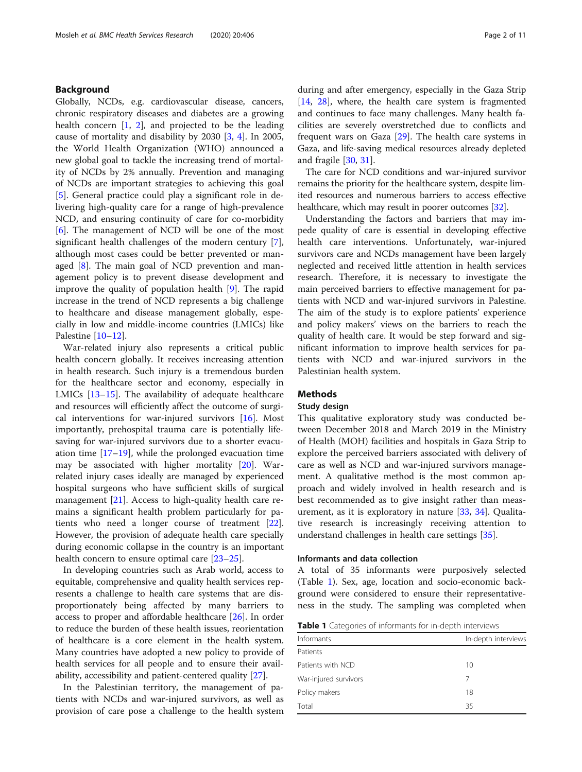# Background

Globally, NCDs, e.g. cardiovascular disease, cancers, chronic respiratory diseases and diabetes are a growing health concern  $\begin{bmatrix} 1 \\ 2 \end{bmatrix}$ , and projected to be the leading cause of mortality and disability by 2030 [\[3](#page-9-0), [4\]](#page-9-0). In 2005, the World Health Organization (WHO) announced a new global goal to tackle the increasing trend of mortality of NCDs by 2% annually. Prevention and managing of NCDs are important strategies to achieving this goal [[5\]](#page-9-0). General practice could play a significant role in delivering high-quality care for a range of high-prevalence NCD, and ensuring continuity of care for co-morbidity [[6\]](#page-9-0). The management of NCD will be one of the most significant health challenges of the modern century [\[7](#page-9-0)], although most cases could be better prevented or man-aged [[8\]](#page-9-0). The main goal of NCD prevention and management policy is to prevent disease development and improve the quality of population health [\[9\]](#page-9-0). The rapid increase in the trend of NCD represents a big challenge to healthcare and disease management globally, especially in low and middle-income countries (LMICs) like Palestine [[10](#page-9-0)–[12\]](#page-9-0).

War-related injury also represents a critical public health concern globally. It receives increasing attention in health research. Such injury is a tremendous burden for the healthcare sector and economy, especially in LMICs [\[13](#page-9-0)–[15](#page-9-0)]. The availability of adequate healthcare and resources will efficiently affect the outcome of surgical interventions for war-injured survivors [[16\]](#page-9-0). Most importantly, prehospital trauma care is potentially lifesaving for war-injured survivors due to a shorter evacuation time  $[17–19]$  $[17–19]$  $[17–19]$ , while the prolonged evacuation time may be associated with higher mortality [\[20](#page-9-0)]. Warrelated injury cases ideally are managed by experienced hospital surgeons who have sufficient skills of surgical management [[21\]](#page-9-0). Access to high-quality health care remains a significant health problem particularly for patients who need a longer course of treatment [\[22](#page-10-0)]. However, the provision of adequate health care specially during economic collapse in the country is an important health concern to ensure optimal care [[23](#page-10-0)–[25](#page-10-0)].

In developing countries such as Arab world, access to equitable, comprehensive and quality health services represents a challenge to health care systems that are disproportionately being affected by many barriers to access to proper and affordable healthcare [\[26\]](#page-10-0). In order to reduce the burden of these health issues, reorientation of healthcare is a core element in the health system. Many countries have adopted a new policy to provide of health services for all people and to ensure their availability, accessibility and patient-centered quality [\[27\]](#page-10-0).

In the Palestinian territory, the management of patients with NCDs and war-injured survivors, as well as provision of care pose a challenge to the health system during and after emergency, especially in the Gaza Strip [[14,](#page-9-0) [28\]](#page-10-0), where, the health care system is fragmented and continues to face many challenges. Many health facilities are severely overstretched due to conflicts and frequent wars on Gaza [[29\]](#page-10-0). The health care systems in Gaza, and life-saving medical resources already depleted and fragile [[30,](#page-10-0) [31\]](#page-10-0).

The care for NCD conditions and war-injured survivor remains the priority for the healthcare system, despite limited resources and numerous barriers to access effective healthcare, which may result in poorer outcomes [[32](#page-10-0)].

Understanding the factors and barriers that may impede quality of care is essential in developing effective health care interventions. Unfortunately, war-injured survivors care and NCDs management have been largely neglected and received little attention in health services research. Therefore, it is necessary to investigate the main perceived barriers to effective management for patients with NCD and war-injured survivors in Palestine. The aim of the study is to explore patients' experience and policy makers' views on the barriers to reach the quality of health care. It would be step forward and significant information to improve health services for patients with NCD and war-injured survivors in the Palestinian health system.

## **Methods**

## Study design

This qualitative exploratory study was conducted between December 2018 and March 2019 in the Ministry of Health (MOH) facilities and hospitals in Gaza Strip to explore the perceived barriers associated with delivery of care as well as NCD and war-injured survivors management. A qualitative method is the most common approach and widely involved in health research and is best recommended as to give insight rather than measurement, as it is exploratory in nature [[33,](#page-10-0) [34](#page-10-0)]. Qualitative research is increasingly receiving attention to understand challenges in health care settings [\[35](#page-10-0)].

# Informants and data collection

A total of 35 informants were purposively selected (Table 1). Sex, age, location and socio-economic background were considered to ensure their representativeness in the study. The sampling was completed when

Table 1 Categories of informants for in-depth interviews

| Informants            | In-depth interviews |
|-----------------------|---------------------|
| Patients              |                     |
| Patients with NCD     | 10                  |
| War-injured survivors |                     |
| Policy makers         | 18                  |
| Total                 | 35                  |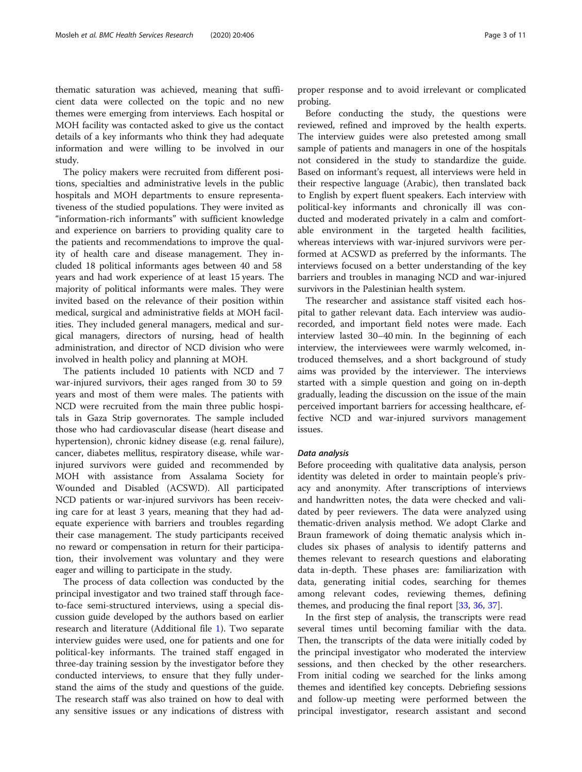thematic saturation was achieved, meaning that sufficient data were collected on the topic and no new themes were emerging from interviews. Each hospital or MOH facility was contacted asked to give us the contact details of a key informants who think they had adequate information and were willing to be involved in our study.

The policy makers were recruited from different positions, specialties and administrative levels in the public hospitals and MOH departments to ensure representativeness of the studied populations. They were invited as "information-rich informants" with sufficient knowledge and experience on barriers to providing quality care to the patients and recommendations to improve the quality of health care and disease management. They included 18 political informants ages between 40 and 58 years and had work experience of at least 15 years. The majority of political informants were males. They were invited based on the relevance of their position within medical, surgical and administrative fields at MOH facilities. They included general managers, medical and surgical managers, directors of nursing, head of health administration, and director of NCD division who were involved in health policy and planning at MOH.

The patients included 10 patients with NCD and 7 war-injured survivors, their ages ranged from 30 to 59 years and most of them were males. The patients with NCD were recruited from the main three public hospitals in Gaza Strip governorates. The sample included those who had cardiovascular disease (heart disease and hypertension), chronic kidney disease (e.g. renal failure), cancer, diabetes mellitus, respiratory disease, while warinjured survivors were guided and recommended by MOH with assistance from Assalama Society for Wounded and Disabled (ACSWD). All participated NCD patients or war-injured survivors has been receiving care for at least 3 years, meaning that they had adequate experience with barriers and troubles regarding their case management. The study participants received no reward or compensation in return for their participation, their involvement was voluntary and they were eager and willing to participate in the study.

The process of data collection was conducted by the principal investigator and two trained staff through faceto-face semi-structured interviews, using a special discussion guide developed by the authors based on earlier research and literature (Additional file [1\)](#page-9-0). Two separate interview guides were used, one for patients and one for political-key informants. The trained staff engaged in three-day training session by the investigator before they conducted interviews, to ensure that they fully understand the aims of the study and questions of the guide. The research staff was also trained on how to deal with any sensitive issues or any indications of distress with proper response and to avoid irrelevant or complicated probing.

Before conducting the study, the questions were reviewed, refined and improved by the health experts. The interview guides were also pretested among small sample of patients and managers in one of the hospitals not considered in the study to standardize the guide. Based on informant's request, all interviews were held in their respective language (Arabic), then translated back to English by expert fluent speakers. Each interview with political-key informants and chronically ill was conducted and moderated privately in a calm and comfortable environment in the targeted health facilities, whereas interviews with war-injured survivors were performed at ACSWD as preferred by the informants. The interviews focused on a better understanding of the key barriers and troubles in managing NCD and war-injured survivors in the Palestinian health system.

The researcher and assistance staff visited each hospital to gather relevant data. Each interview was audiorecorded, and important field notes were made. Each interview lasted 30–40 min. In the beginning of each interview, the interviewees were warmly welcomed, introduced themselves, and a short background of study aims was provided by the interviewer. The interviews started with a simple question and going on in-depth gradually, leading the discussion on the issue of the main perceived important barriers for accessing healthcare, effective NCD and war-injured survivors management issues.

#### Data analysis

Before proceeding with qualitative data analysis, person identity was deleted in order to maintain people's privacy and anonymity. After transcriptions of interviews and handwritten notes, the data were checked and validated by peer reviewers. The data were analyzed using thematic-driven analysis method. We adopt Clarke and Braun framework of doing thematic analysis which includes six phases of analysis to identify patterns and themes relevant to research questions and elaborating data in-depth. These phases are: familiarization with data, generating initial codes, searching for themes among relevant codes, reviewing themes, defining themes, and producing the final report [[33](#page-10-0), [36](#page-10-0), [37](#page-10-0)].

In the first step of analysis, the transcripts were read several times until becoming familiar with the data. Then, the transcripts of the data were initially coded by the principal investigator who moderated the interview sessions, and then checked by the other researchers. From initial coding we searched for the links among themes and identified key concepts. Debriefing sessions and follow-up meeting were performed between the principal investigator, research assistant and second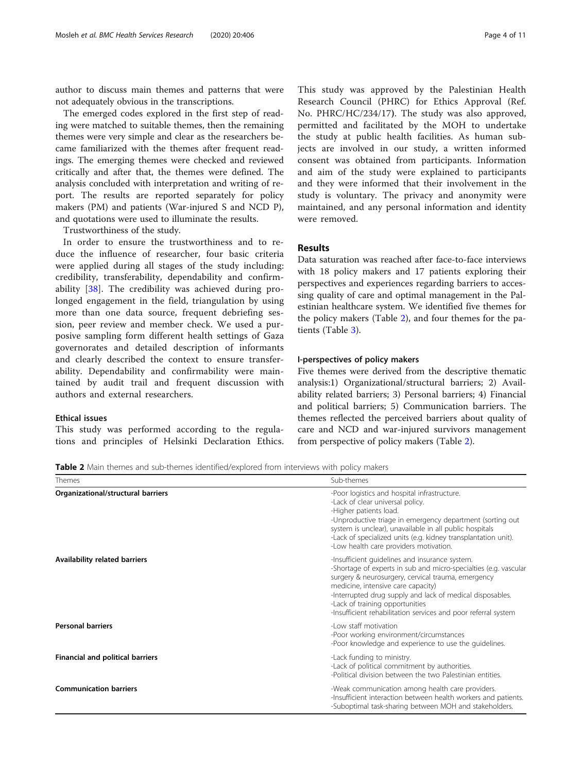author to discuss main themes and patterns that were not adequately obvious in the transcriptions.

The emerged codes explored in the first step of reading were matched to suitable themes, then the remaining themes were very simple and clear as the researchers became familiarized with the themes after frequent readings. The emerging themes were checked and reviewed critically and after that, the themes were defined. The analysis concluded with interpretation and writing of report. The results are reported separately for policy makers (PM) and patients (War-injured S and NCD P), and quotations were used to illuminate the results.

Trustworthiness of the study.

In order to ensure the trustworthiness and to reduce the influence of researcher, four basic criteria were applied during all stages of the study including: credibility, transferability, dependability and confirmability [\[38](#page-10-0)]. The credibility was achieved during prolonged engagement in the field, triangulation by using more than one data source, frequent debriefing session, peer review and member check. We used a purposive sampling form different health settings of Gaza governorates and detailed description of informants and clearly described the context to ensure transferability. Dependability and confirmability were maintained by audit trail and frequent discussion with authors and external researchers.

## Ethical issues

This study was performed according to the regulations and principles of Helsinki Declaration Ethics.

This study was approved by the Palestinian Health Research Council (PHRC) for Ethics Approval (Ref. No. PHRC/HC/234/17). The study was also approved, permitted and facilitated by the MOH to undertake the study at public health facilities. As human subjects are involved in our study, a written informed consent was obtained from participants. Information and aim of the study were explained to participants

and they were informed that their involvement in the study is voluntary. The privacy and anonymity were maintained, and any personal information and identity were removed.

## Results

Data saturation was reached after face-to-face interviews with 18 policy makers and 17 patients exploring their perspectives and experiences regarding barriers to accessing quality of care and optimal management in the Palestinian healthcare system. We identified five themes for the policy makers (Table 2), and four themes for the patients (Table [3](#page-4-0)).

## I-perspectives of policy makers

Five themes were derived from the descriptive thematic analysis:1) Organizational/structural barriers; 2) Availability related barriers; 3) Personal barriers; 4) Financial and political barriers; 5) Communication barriers. The themes reflected the perceived barriers about quality of care and NCD and war-injured survivors management from perspective of policy makers (Table 2).

Table 2 Main themes and sub-themes identified/explored from interviews with policy makers

| Themes                                  | Sub-themes                                                                                                                                                                                                                                                                                                                                                                       |
|-----------------------------------------|----------------------------------------------------------------------------------------------------------------------------------------------------------------------------------------------------------------------------------------------------------------------------------------------------------------------------------------------------------------------------------|
| Organizational/structural barriers      | -Poor logistics and hospital infrastructure.<br>-Lack of clear universal policy.<br>-Higher patients load.<br>-Unproductive triage in emergency department (sorting out)<br>system is unclear), unavailable in all public hospitals<br>-Lack of specialized units (e.g. kidney transplantation unit).<br>-Low health care providers motivation.                                  |
| Availability related barriers           | -Insufficient quidelines and insurance system.<br>-Shortage of experts in sub and micro-specialties (e.g. vascular<br>surgery & neurosurgery, cervical trauma, emergency<br>medicine, intensive care capacity)<br>-Interrupted drug supply and lack of medical disposables.<br>-Lack of training opportunities<br>-Insufficient rehabilitation services and poor referral system |
| <b>Personal barriers</b>                | -I ow staff motivation<br>-Poor working environment/circumstances<br>-Poor knowledge and experience to use the quidelines.                                                                                                                                                                                                                                                       |
| <b>Financial and political barriers</b> | -Lack funding to ministry.<br>-Lack of political commitment by authorities.<br>-Political division between the two Palestinian entities.                                                                                                                                                                                                                                         |
| <b>Communication barriers</b>           | -Weak communication among health care providers.<br>-Insufficient interaction between health workers and patients.<br>-Suboptimal task-sharing between MOH and stakeholders.                                                                                                                                                                                                     |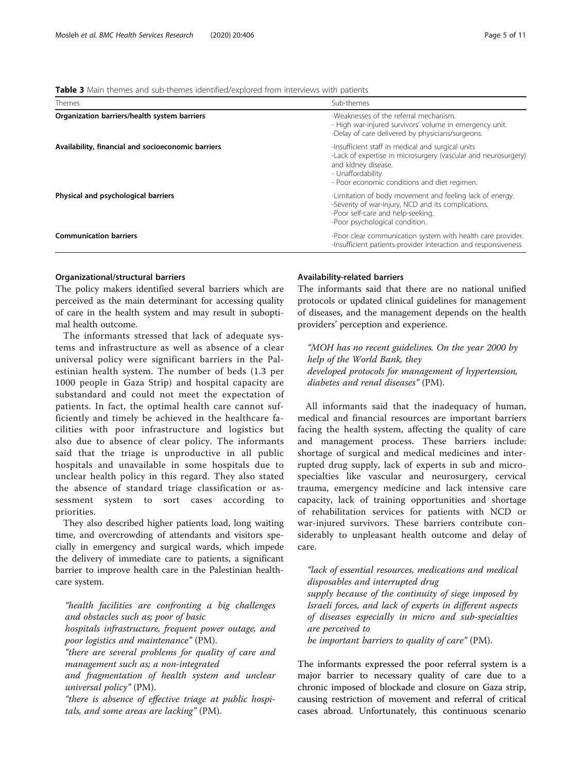<span id="page-4-0"></span>

| <b>Table 3</b> Main themes and sub-themes identified/explored from interviews with patients |
|---------------------------------------------------------------------------------------------|
|---------------------------------------------------------------------------------------------|

| Themes                                             | Sub-themes                                                                                                                                                                                                       |
|----------------------------------------------------|------------------------------------------------------------------------------------------------------------------------------------------------------------------------------------------------------------------|
| Organization barriers/health system barriers       | -Weaknesses of the referral mechanism.<br>- High war-injured survivors' volume in emergency unit.<br>-Delay of care delivered by physicians/surgeons.                                                            |
| Availability, financial and socioeconomic barriers | -Insufficient staff in medical and surgical units<br>-Lack of expertise in microsurgery (vascular and neurosurgery)<br>and kidney disease.<br>- Unaffordability.<br>- Poor economic conditions and diet regimen. |
| Physical and psychological barriers                | -Limitation of body movement and feeling lack of energy.<br>-Severity of war-injury, NCD and its complications.<br>-Poor self-care and help-seeking.<br>-Poor psychological condition.                           |
| <b>Communication barriers</b>                      | -Poor clear communication system with health care provider.<br>-Insufficient patients-provider interaction and responsiveness                                                                                    |

#### Organizational/structural barriers

The policy makers identified several barriers which are perceived as the main determinant for accessing quality of care in the health system and may result in suboptimal health outcome.

The informants stressed that lack of adequate systems and infrastructure as well as absence of a clear universal policy were significant barriers in the Palestinian health system. The number of beds (1.3 per 1000 people in Gaza Strip) and hospital capacity are substandard and could not meet the expectation of patients. In fact, the optimal health care cannot sufficiently and timely be achieved in the healthcare facilities with poor infrastructure and logistics but also due to absence of clear policy. The informants said that the triage is unproductive in all public hospitals and unavailable in some hospitals due to unclear health policy in this regard. They also stated the absence of standard triage classification or assessment system to sort cases according to priorities.

They also described higher patients load, long waiting time, and overcrowding of attendants and visitors specially in emergency and surgical wards, which impede the delivery of immediate care to patients, a significant barrier to improve health care in the Palestinian healthcare system.

"health facilities are confronting a big challenges and obstacles such as; poor of basic

hospitals infrastructure, frequent power outage, and poor logistics and maintenance" (PM).

"there are several problems for quality of care and management such as; a non-integrated

and fragmentation of health system and unclear universal policy" (PM).

"there is absence of effective triage at public hospitals, and some areas are lacking" (PM).

## Availability-related barriers

The informants said that there are no national unified protocols or updated clinical guidelines for management of diseases, and the management depends on the health providers' perception and experience.

"MOH has no recent guidelines. On the year 2000 by help of the World Bank, they developed protocols for management of hypertension, diabetes and renal diseases" (PM).

All informants said that the inadequacy of human, medical and financial resources are important barriers facing the health system, affecting the quality of care and management process. These barriers include: shortage of surgical and medical medicines and interrupted drug supply, lack of experts in sub and microspecialties like vascular and neurosurgery, cervical trauma, emergency medicine and lack intensive care capacity, lack of training opportunities and shortage of rehabilitation services for patients with NCD or war-injured survivors. These barriers contribute considerably to unpleasant health outcome and delay of care.

"lack of essential resources, medications and medical disposables and interrupted drug supply because of the continuity of siege imposed by Israeli forces, and lack of experts in different aspects of diseases especially in micro and sub-specialties are perceived to

be important barriers to quality of care" (PM).

The informants expressed the poor referral system is a major barrier to necessary quality of care due to a chronic imposed of blockade and closure on Gaza strip, causing restriction of movement and referral of critical cases abroad. Unfortunately, this continuous scenario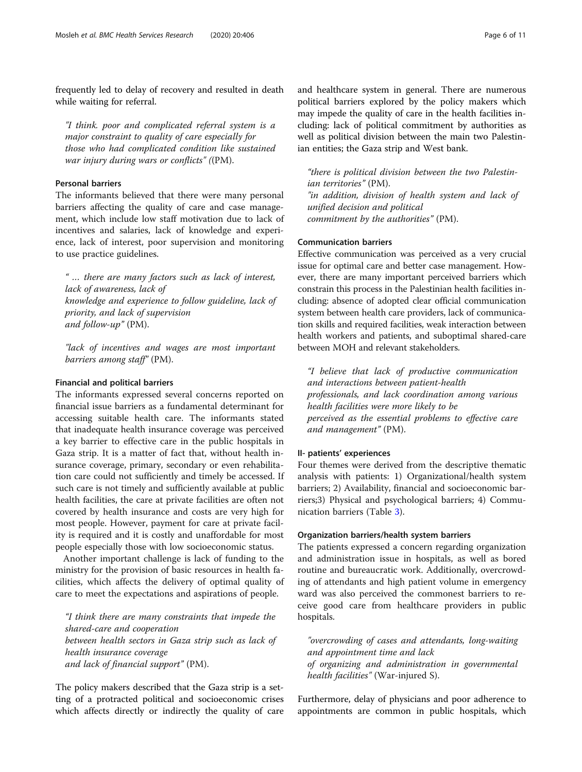frequently led to delay of recovery and resulted in death while waiting for referral.

"I think. poor and complicated referral system is a major constraint to quality of care especially for those who had complicated condition like sustained war injury during wars or conflicts" ((PM).

## Personal barriers

The informants believed that there were many personal barriers affecting the quality of care and case management, which include low staff motivation due to lack of incentives and salaries, lack of knowledge and experience, lack of interest, poor supervision and monitoring to use practice guidelines.

" … there are many factors such as lack of interest, lack of awareness, lack of knowledge and experience to follow guideline, lack of priority, and lack of supervision and follow-up" (PM).

"lack of incentives and wages are most important barriers among staff" (PM).

## Financial and political barriers

The informants expressed several concerns reported on financial issue barriers as a fundamental determinant for accessing suitable health care. The informants stated that inadequate health insurance coverage was perceived a key barrier to effective care in the public hospitals in Gaza strip. It is a matter of fact that, without health insurance coverage, primary, secondary or even rehabilitation care could not sufficiently and timely be accessed. If such care is not timely and sufficiently available at public health facilities, the care at private facilities are often not covered by health insurance and costs are very high for most people. However, payment for care at private facility is required and it is costly and unaffordable for most people especially those with low socioeconomic status.

Another important challenge is lack of funding to the ministry for the provision of basic resources in health facilities, which affects the delivery of optimal quality of care to meet the expectations and aspirations of people.

"I think there are many constraints that impede the shared-care and cooperation between health sectors in Gaza strip such as lack of health insurance coverage and lack of financial support" (PM).

The policy makers described that the Gaza strip is a setting of a protracted political and socioeconomic crises which affects directly or indirectly the quality of care

and healthcare system in general. There are numerous political barriers explored by the policy makers which may impede the quality of care in the health facilities including: lack of political commitment by authorities as well as political division between the main two Palestinian entities; the Gaza strip and West bank.

"there is political division between the two Palestinian territories" (PM). "in addition, division of health system and lack of unified decision and political commitment by the authorities" (PM).

## Communication barriers

Effective communication was perceived as a very crucial issue for optimal care and better case management. However, there are many important perceived barriers which constrain this process in the Palestinian health facilities including: absence of adopted clear official communication system between health care providers, lack of communication skills and required facilities, weak interaction between health workers and patients, and suboptimal shared-care between MOH and relevant stakeholders.

"I believe that lack of productive communication and interactions between patient-health professionals, and lack coordination among various health facilities were more likely to be perceived as the essential problems to effective care and management" (PM).

# II- patients' experiences

Four themes were derived from the descriptive thematic analysis with patients: 1) Organizational/health system barriers; 2) Availability, financial and socioeconomic barriers;3) Physical and psychological barriers; 4) Communication barriers (Table [3\)](#page-4-0).

# Organization barriers/health system barriers

The patients expressed a concern regarding organization and administration issue in hospitals, as well as bored routine and bureaucratic work. Additionally, overcrowding of attendants and high patient volume in emergency ward was also perceived the commonest barriers to receive good care from healthcare providers in public hospitals.

"overcrowding of cases and attendants, long-waiting and appointment time and lack of organizing and administration in governmental health facilities" (War-injured S).

Furthermore, delay of physicians and poor adherence to appointments are common in public hospitals, which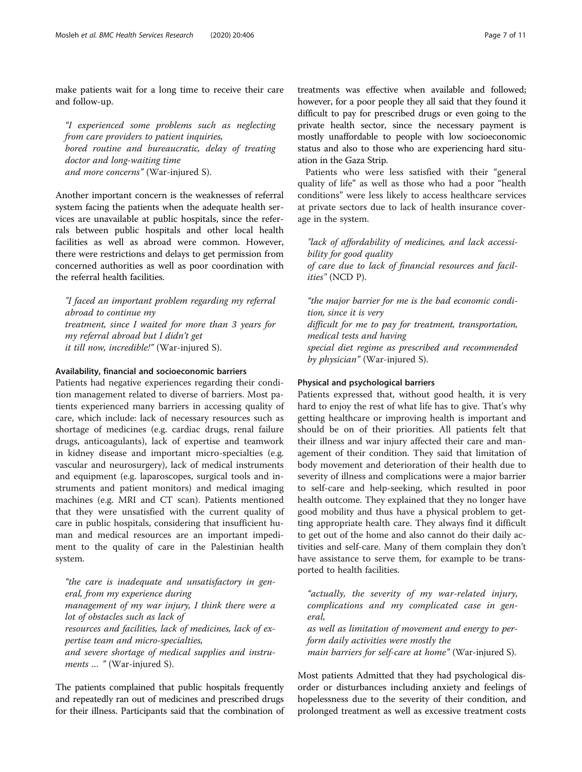make patients wait for a long time to receive their care and follow-up.

"I experienced some problems such as neglecting from care providers to patient inquiries, bored routine and bureaucratic, delay of treating doctor and long-waiting time and more concerns" (War-injured S).

Another important concern is the weaknesses of referral system facing the patients when the adequate health services are unavailable at public hospitals, since the referrals between public hospitals and other local health facilities as well as abroad were common. However, there were restrictions and delays to get permission from concerned authorities as well as poor coordination with the referral health facilities.

"I faced an important problem regarding my referral abroad to continue my treatment, since I waited for more than 3 years for my referral abroad but I didn't get it till now, incredible!" (War-injured S).

## Availability, financial and socioeconomic barriers

Patients had negative experiences regarding their condition management related to diverse of barriers. Most patients experienced many barriers in accessing quality of care, which include: lack of necessary resources such as shortage of medicines (e.g. cardiac drugs, renal failure drugs, anticoagulants), lack of expertise and teamwork in kidney disease and important micro-specialties (e.g. vascular and neurosurgery), lack of medical instruments and equipment (e.g. laparoscopes, surgical tools and instruments and patient monitors) and medical imaging machines (e.g. MRI and CT scan). Patients mentioned that they were unsatisfied with the current quality of care in public hospitals, considering that insufficient human and medical resources are an important impediment to the quality of care in the Palestinian health system.

"the care is inadequate and unsatisfactory in general, from my experience during management of my war injury, I think there were a lot of obstacles such as lack of resources and facilities, lack of medicines, lack of expertise team and micro-specialties, and severe shortage of medical supplies and instruments ... " (War-injured S).

The patients complained that public hospitals frequently and repeatedly ran out of medicines and prescribed drugs for their illness. Participants said that the combination of

treatments was effective when available and followed; however, for a poor people they all said that they found it difficult to pay for prescribed drugs or even going to the private health sector, since the necessary payment is mostly unaffordable to people with low socioeconomic status and also to those who are experiencing hard situation in the Gaza Strip.

Patients who were less satisfied with their "general quality of life" as well as those who had a poor "health conditions" were less likely to access healthcare services at private sectors due to lack of health insurance coverage in the system.

"lack of affordability of medicines, and lack accessibility for good quality

of care due to lack of financial resources and facilities" (NCD P).

"the major barrier for me is the bad economic condition, since it is very

difficult for me to pay for treatment, transportation, medical tests and having

special diet regime as prescribed and recommended by physician" (War-injured S).

## Physical and psychological barriers

Patients expressed that, without good health, it is very hard to enjoy the rest of what life has to give. That's why getting healthcare or improving health is important and should be on of their priorities. All patients felt that their illness and war injury affected their care and management of their condition. They said that limitation of body movement and deterioration of their health due to severity of illness and complications were a major barrier to self-care and help-seeking, which resulted in poor health outcome. They explained that they no longer have good mobility and thus have a physical problem to getting appropriate health care. They always find it difficult to get out of the home and also cannot do their daily activities and self-care. Many of them complain they don't have assistance to serve them, for example to be transported to health facilities.

"actually, the severity of my war-related injury, complications and my complicated case in general,

as well as limitation of movement and energy to perform daily activities were mostly the main barriers for self-care at home" (War-injured S).

Most patients Admitted that they had psychological disorder or disturbances including anxiety and feelings of hopelessness due to the severity of their condition, and prolonged treatment as well as excessive treatment costs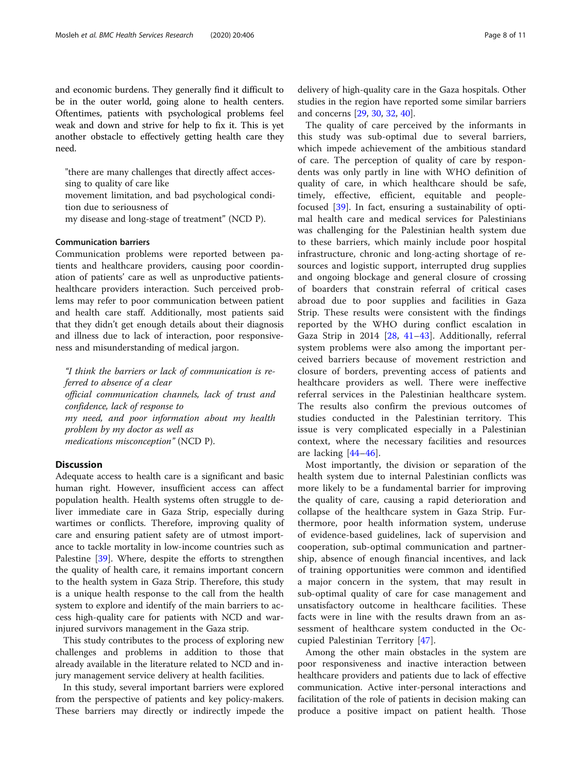and economic burdens. They generally find it difficult to be in the outer world, going alone to health centers. Oftentimes, patients with psychological problems feel weak and down and strive for help to fix it. This is yet another obstacle to effectively getting health care they need.

"there are many challenges that directly affect accessing to quality of care like

movement limitation, and bad psychological condition due to seriousness of

my disease and long-stage of treatment" (NCD P).

## Communication barriers

Communication problems were reported between patients and healthcare providers, causing poor coordination of patients' care as well as unproductive patientshealthcare providers interaction. Such perceived problems may refer to poor communication between patient and health care staff. Additionally, most patients said that they didn't get enough details about their diagnosis and illness due to lack of interaction, poor responsiveness and misunderstanding of medical jargon.

"I think the barriers or lack of communication is referred to absence of a clear

official communication channels, lack of trust and confidence, lack of response to my need, and poor information about my health problem by my doctor as well as medications misconception" (NCD P).

## **Discussion**

Adequate access to health care is a significant and basic human right. However, insufficient access can affect population health. Health systems often struggle to deliver immediate care in Gaza Strip, especially during wartimes or conflicts. Therefore, improving quality of care and ensuring patient safety are of utmost importance to tackle mortality in low-income countries such as Palestine [\[39](#page-10-0)]. Where, despite the efforts to strengthen the quality of health care, it remains important concern to the health system in Gaza Strip. Therefore, this study is a unique health response to the call from the health system to explore and identify of the main barriers to access high-quality care for patients with NCD and warinjured survivors management in the Gaza strip.

This study contributes to the process of exploring new challenges and problems in addition to those that already available in the literature related to NCD and injury management service delivery at health facilities.

In this study, several important barriers were explored from the perspective of patients and key policy-makers. These barriers may directly or indirectly impede the

delivery of high-quality care in the Gaza hospitals. Other studies in the region have reported some similar barriers and concerns [\[29](#page-10-0), [30](#page-10-0), [32](#page-10-0), [40\]](#page-10-0).

The quality of care perceived by the informants in this study was sub-optimal due to several barriers, which impede achievement of the ambitious standard of care. The perception of quality of care by respondents was only partly in line with WHO definition of quality of care, in which healthcare should be safe, timely, effective, efficient, equitable and peoplefocused [[39\]](#page-10-0). In fact, ensuring a sustainability of optimal health care and medical services for Palestinians was challenging for the Palestinian health system due to these barriers, which mainly include poor hospital infrastructure, chronic and long-acting shortage of resources and logistic support, interrupted drug supplies and ongoing blockage and general closure of crossing of boarders that constrain referral of critical cases abroad due to poor supplies and facilities in Gaza Strip. These results were consistent with the findings reported by the WHO during conflict escalation in Gaza Strip in 2014 [\[28](#page-10-0), [41](#page-10-0)–[43\]](#page-10-0). Additionally, referral system problems were also among the important perceived barriers because of movement restriction and closure of borders, preventing access of patients and healthcare providers as well. There were ineffective referral services in the Palestinian healthcare system. The results also confirm the previous outcomes of studies conducted in the Palestinian territory. This issue is very complicated especially in a Palestinian context, where the necessary facilities and resources are lacking [\[44](#page-10-0)–[46](#page-10-0)].

Most importantly, the division or separation of the health system due to internal Palestinian conflicts was more likely to be a fundamental barrier for improving the quality of care, causing a rapid deterioration and collapse of the healthcare system in Gaza Strip. Furthermore, poor health information system, underuse of evidence-based guidelines, lack of supervision and cooperation, sub-optimal communication and partnership, absence of enough financial incentives, and lack of training opportunities were common and identified a major concern in the system, that may result in sub-optimal quality of care for case management and unsatisfactory outcome in healthcare facilities. These facts were in line with the results drawn from an assessment of healthcare system conducted in the Occupied Palestinian Territory [[47\]](#page-10-0).

Among the other main obstacles in the system are poor responsiveness and inactive interaction between healthcare providers and patients due to lack of effective communication. Active inter-personal interactions and facilitation of the role of patients in decision making can produce a positive impact on patient health. Those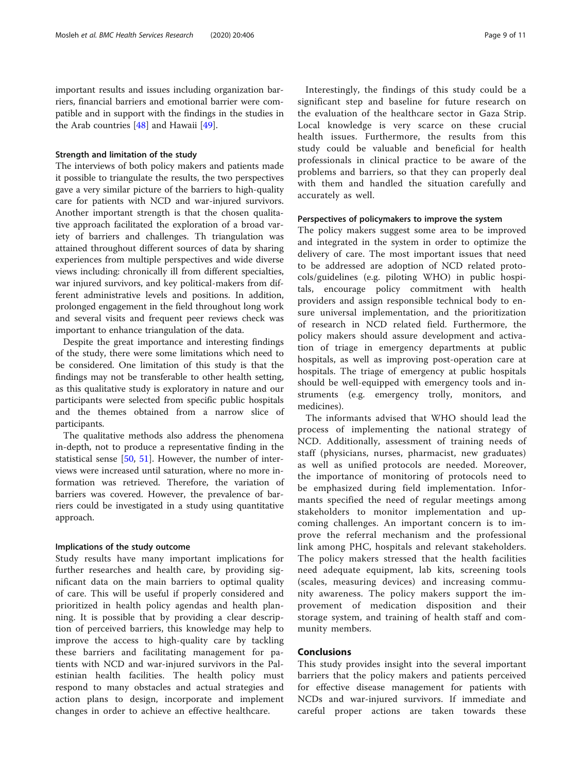important results and issues including organization barriers, financial barriers and emotional barrier were compatible and in support with the findings in the studies in the Arab countries [[48](#page-10-0)] and Hawaii [[49\]](#page-10-0).

#### Strength and limitation of the study

The interviews of both policy makers and patients made it possible to triangulate the results, the two perspectives gave a very similar picture of the barriers to high-quality care for patients with NCD and war-injured survivors. Another important strength is that the chosen qualitative approach facilitated the exploration of a broad variety of barriers and challenges. Th triangulation was attained throughout different sources of data by sharing experiences from multiple perspectives and wide diverse views including: chronically ill from different specialties, war injured survivors, and key political-makers from different administrative levels and positions. In addition, prolonged engagement in the field throughout long work and several visits and frequent peer reviews check was important to enhance triangulation of the data.

Despite the great importance and interesting findings of the study, there were some limitations which need to be considered. One limitation of this study is that the findings may not be transferable to other health setting, as this qualitative study is exploratory in nature and our participants were selected from specific public hospitals and the themes obtained from a narrow slice of participants.

The qualitative methods also address the phenomena in-depth, not to produce a representative finding in the statistical sense [[50,](#page-10-0) [51](#page-10-0)]. However, the number of interviews were increased until saturation, where no more information was retrieved. Therefore, the variation of barriers was covered. However, the prevalence of barriers could be investigated in a study using quantitative approach.

# Implications of the study outcome

Study results have many important implications for further researches and health care, by providing significant data on the main barriers to optimal quality of care. This will be useful if properly considered and prioritized in health policy agendas and health planning. It is possible that by providing a clear description of perceived barriers, this knowledge may help to improve the access to high-quality care by tackling these barriers and facilitating management for patients with NCD and war-injured survivors in the Palestinian health facilities. The health policy must respond to many obstacles and actual strategies and action plans to design, incorporate and implement changes in order to achieve an effective healthcare.

Interestingly, the findings of this study could be a significant step and baseline for future research on the evaluation of the healthcare sector in Gaza Strip. Local knowledge is very scarce on these crucial health issues. Furthermore, the results from this study could be valuable and beneficial for health professionals in clinical practice to be aware of the problems and barriers, so that they can properly deal with them and handled the situation carefully and accurately as well.

## Perspectives of policymakers to improve the system

The policy makers suggest some area to be improved and integrated in the system in order to optimize the delivery of care. The most important issues that need to be addressed are adoption of NCD related protocols/guidelines (e.g. piloting WHO) in public hospitals, encourage policy commitment with health providers and assign responsible technical body to ensure universal implementation, and the prioritization of research in NCD related field. Furthermore, the policy makers should assure development and activation of triage in emergency departments at public hospitals, as well as improving post-operation care at hospitals. The triage of emergency at public hospitals should be well-equipped with emergency tools and instruments (e.g. emergency trolly, monitors, and medicines).

The informants advised that WHO should lead the process of implementing the national strategy of NCD. Additionally, assessment of training needs of staff (physicians, nurses, pharmacist, new graduates) as well as unified protocols are needed. Moreover, the importance of monitoring of protocols need to be emphasized during field implementation. Informants specified the need of regular meetings among stakeholders to monitor implementation and upcoming challenges. An important concern is to improve the referral mechanism and the professional link among PHC, hospitals and relevant stakeholders. The policy makers stressed that the health facilities need adequate equipment, lab kits, screening tools (scales, measuring devices) and increasing community awareness. The policy makers support the improvement of medication disposition and their storage system, and training of health staff and community members.

## Conclusions

This study provides insight into the several important barriers that the policy makers and patients perceived for effective disease management for patients with NCDs and war-injured survivors. If immediate and careful proper actions are taken towards these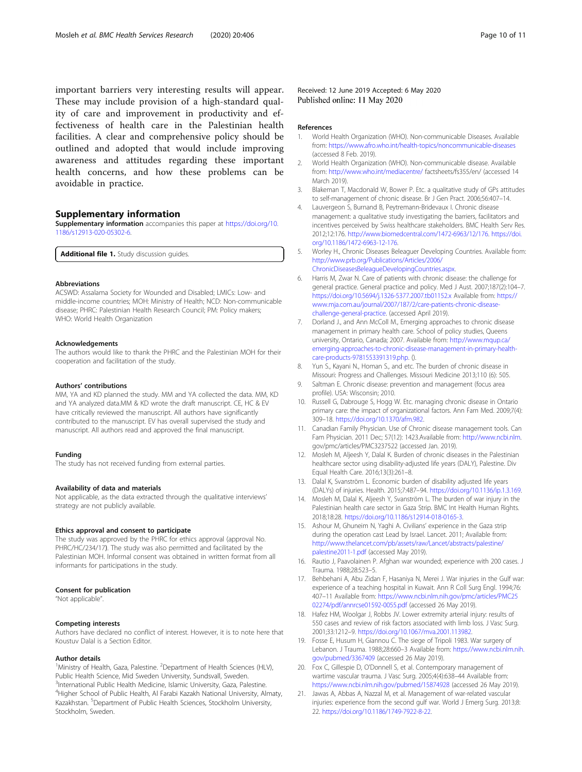<span id="page-9-0"></span>important barriers very interesting results will appear. These may include provision of a high-standard quality of care and improvement in productivity and effectiveness of health care in the Palestinian health facilities. A clear and comprehensive policy should be outlined and adopted that would include improving awareness and attitudes regarding these important health concerns, and how these problems can be avoidable in practice.

## Supplementary information

Supplementary information accompanies this paper at [https://doi.org/10.](https://doi.org/10.1186/s12913-020-05302-6) [1186/s12913-020-05302-6](https://doi.org/10.1186/s12913-020-05302-6).

Additional file 1. Study discussion guides.

#### Abbreviations

ACSWD: Assalama Society for Wounded and Disabled; LMICs: Low- and middle-income countries; MOH: Ministry of Health; NCD: Non-communicable disease; PHRC: Palestinian Health Research Council; PM: Policy makers; WHO: World Health Organization

#### Acknowledgements

The authors would like to thank the PHRC and the Palestinian MOH for their cooperation and facilitation of the study.

#### Authors' contributions

MM, YA and KD planned the study. MM and YA collected the data. MM, KD and YA analyzed data.MM & KD wrote the draft manuscript. CE, HC & EV have critically reviewed the manuscript. All authors have significantly contributed to the manuscript. EV has overall supervised the study and manuscript. All authors read and approved the final manuscript.

#### Funding

The study has not received funding from external parties.

#### Availability of data and materials

Not applicable, as the data extracted through the qualitative interviews' strategy are not publicly available.

#### Ethics approval and consent to participate

The study was approved by the PHRC for ethics approval (approval No. PHRC/HC/234/17). The study was also permitted and facilitated by the Palestinian MOH. Informal consent was obtained in written format from all informants for participations in the study.

#### Consent for publication

"Not applicable".

#### Competing interests

Authors have declared no conflict of interest. However, it is to note here that Koustuv Dalal is a Section Editor.

#### Author details

<sup>1</sup>Ministry of Health, Gaza, Palestine. <sup>2</sup>Department of Health Sciences (HLV), Public Health Science, Mid Sweden University, Sundsvall, Sweden. <sup>3</sup>International Public Health Medicine, Islamic University, Gaza, Palestine. 4 Higher School of Public Health, Al Farabi Kazakh National University, Almaty, Kazakhstan. <sup>5</sup>Department of Public Health Sciences, Stockholm University, Stockholm, Sweden.

Received: 12 June 2019 Accepted: 6 May 2020 Published online: 11 May 2020

#### References

- 1. World Health Organization (WHO). Non-communicable Diseases. Available from: <https://www.afro.who.int/health-topics/noncommunicable-diseases> (accessed 8 Feb. 2019).
- 2. World Health Organization (WHO). Non-communicable disease. Available from: <http://www.who.int/mediacentre/> factsheets/fs355/en/ (accessed 14 March 2019).
- 3. Blakeman T, Macdonald W, Bower P. Etc. a qualitative study of GPs attitudes to self-management of chronic disease. Br J Gen Pract. 2006;56:407–14.
- 4. Lauvergeon S, Burnand B, Peytremann-Bridevaux I. Chronic disease management: a qualitative study investigating the barriers, facilitators and incentives perceived by Swiss healthcare stakeholders. BMC Health Serv Res. 2012;12:176. [http://www.biomedcentral.com/1472-6963/12/176.](http://www.biomedcentral.com/1472-6963/12/176) [https://doi.](https://doi.org/10.1186/1472-6963-12-176) [org/10.1186/1472-6963-12-176.](https://doi.org/10.1186/1472-6963-12-176)
- 5. Worley H., Chronic Diseases Beleaguer Developing Countries. Available from: [http://www.prb.org/Publications/Articles/2006/](http://www.prb.org/Publications/Articles/2006/ChronicDiseasesBeleagueDevelopingCountries.aspx) [ChronicDiseasesBeleagueDevelopingCountries.aspx](http://www.prb.org/Publications/Articles/2006/ChronicDiseasesBeleagueDevelopingCountries.aspx).
- 6. Harris M, Zwar N. Care of patients with chronic disease: the challenge for general practice. General practice and policy. Med J Aust. 2007;187(2):104–7. <https://doi.org/10.5694/j.1326-5377.2007.tb01152.x> Available from: [https://](https://www.mja.com.au/journal/2007/187/2/care-patients-chronic-disease-challenge-general-practice) [www.mja.com.au/journal/2007/187/2/care-patients-chronic-disease](https://www.mja.com.au/journal/2007/187/2/care-patients-chronic-disease-challenge-general-practice)[challenge-general-practice](https://www.mja.com.au/journal/2007/187/2/care-patients-chronic-disease-challenge-general-practice). (accessed April 2019).
- 7. Dorland J., and Ann McColl M., Emerging approaches to chronic disease management in primary health care. School of policy studies, Queens university, Ontario, Canada; 2007. Available from: [http://www.mqup.ca/](http://www.mqup.ca/emerging-approaches-to-chronic-disease-management-in-primary-health-care-products-9781553391319.php) [emerging-approaches-to-chronic-disease-management-in-primary-health](http://www.mqup.ca/emerging-approaches-to-chronic-disease-management-in-primary-health-care-products-9781553391319.php)[care-products-9781553391319.php.](http://www.mqup.ca/emerging-approaches-to-chronic-disease-management-in-primary-health-care-products-9781553391319.php) ().
- 8. Yun S., Kayani N., Homan S., and etc. The burden of chronic disease in Missouri: Progress and Challenges. Missouri Medicine 2013;110 (6): 505.
- 9. Saltman E. Chronic disease: prevention and management (focus area profile). USA: Wisconsin; 2010.
- 10. Russell G, Dabrouge S, Hogg W. Etc. managing chronic disease in Ontario primary care: the impact of organizational factors. Ann Fam Med. 2009;7(4): 309–18. <https://doi.org/10.1370/afm.982>.
- 11. Canadian Family Physician. Use of Chronic disease management tools. Can Fam Physician. 2011 Dec; 57(12): 1423.Available from: [http://www.ncbi.nlm.](http://www.ncbi.nlm) gov/pmc/articles/PMC3237522 (accessed Jan. 2019).
- 12. Mosleh M, Aljeesh Y, Dalal K. Burden of chronic diseases in the Palestinian healthcare sector using disability-adjusted life years (DALY), Palestine. Div Equal Health Care. 2016;13(3):261–8.
- 13. Dalal K, Svanström L. Economic burden of disability adjusted life years (DALYs) of injuries. Health. 2015;7:487–94. <https://doi.org/10.1136/ip.1.3.169>.
- 14. Mosleh M, Dalal K, Aljeesh Y, Svanström L. The burden of war injury in the Palestinian health care sector in Gaza Strip. BMC Int Health Human Rights. 2018;18:28. <https://doi.org/10.1186/s12914-018-0165-3>.
- 15. Ashour M, Ghuneim N, Yaghi A. Civilians' experience in the Gaza strip during the operation cast Lead by Israel. Lancet. 2011; Available from: [http://www.thelancet.com/pb/assets/raw/Lancet/abstracts/palestine/](http://www.thelancet.com/pb/assets/raw/Lancet/abstracts/palestine/palestine2011-1.pdf) [palestine2011-1.pdf](http://www.thelancet.com/pb/assets/raw/Lancet/abstracts/palestine/palestine2011-1.pdf) (accessed May 2019).
- 16. Rautio J, Paavolainen P. Afghan war wounded; experience with 200 cases. J Trauma. 1988;28:523–5.
- 17. Behbehani A, Abu Zidan F, Hasaniya N, Merei J. War injuries in the Gulf war: experience of a teaching hospital in Kuwait. Ann R Coll Surg Engl. 1994;76: 407–11 Available from: [https://www.ncbi.nlm.nih.gov/pmc/articles/PMC25](https://www.ncbi.nlm.nih.gov/pmc/articles/PMC2502274/pdf/annrcse01592-0055.pdf) [02274/pdf/annrcse01592-0055.pdf](https://www.ncbi.nlm.nih.gov/pmc/articles/PMC2502274/pdf/annrcse01592-0055.pdf) (accessed 26 May 2019).
- 18. Hafez HM, Woolgar J, Robbs JV. Lower extremity arterial injury: results of 550 cases and review of risk factors associated with limb loss. J Vasc Surg. 2001;33:1212–9. <https://doi.org/10.1067/mva.2001.113982>.
- 19. Fosse E, Husum H, Giannou C. The siege of Tripoli 1983. War surgery of Lebanon. J Trauma. 1988;28:660–3 Available from: [https://www.ncbi.nlm.nih.](https://www.ncbi.nlm.nih.gov/pubmed/3367409) [gov/pubmed/3367409](https://www.ncbi.nlm.nih.gov/pubmed/3367409) (accessed 26 May 2019).
- 20. Fox C, Gillespie D, O'Donnell S, et al. Contemporary management of wartime vascular trauma. J Vasc Surg. 2005;4(4):638–44 Available from: <https://www.ncbi.nlm.nih.gov/pubmed/15874928> (accessed 26 May 2019).
- 21. Jawas A, Abbas A, Nazzal M, et al. Management of war-related vascular injuries: experience from the second gulf war. World J Emerg Surg. 2013;8: 22. [https://doi.org/10.1186/1749-7922-8-22.](https://doi.org/10.1186/1749-7922-8-22)